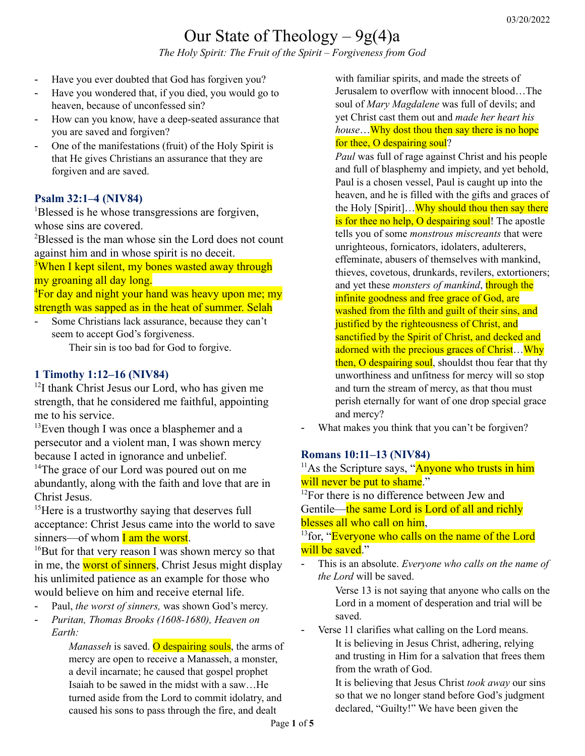# Our State of Theology  $-9g(4)$ a

*The Holy Spirit: The Fruit of the Spirit – Forgiveness from God*

- Have you ever doubted that God has forgiven you?
- Have you wondered that, if you died, you would go to heaven, because of unconfessed sin?
- How can you know, have a deep-seated assurance that you are saved and forgiven?
- One of the manifestations (fruit) of the Holy Spirit is that He gives Christians an assurance that they are forgiven and are saved.

## **Psalm 32:1–4 (NIV84)**

<sup>1</sup>Blessed is he whose transgressions are forgiven, whose sins are covered.

<sup>2</sup>Blessed is the man whose sin the Lord does not count against him and in whose spirit is no deceit.

<sup>3</sup>When I kept silent, my bones wasted away through my groaning all day long.

<sup>4</sup>For day and night your hand was heavy upon me; my strength was sapped as in the heat of summer. Selah

Some Christians lack assurance, because they can't seem to accept God's forgiveness.

Their sin is too bad for God to forgive.

#### **1 Timothy 1:12–16 (NIV84)**

<sup>12</sup>I thank Christ Jesus our Lord, who has given me strength, that he considered me faithful, appointing me to his service.

 $13$ Even though I was once a blasphemer and a persecutor and a violent man, I was shown mercy because I acted in ignorance and unbelief.

<sup>14</sup>The grace of our Lord was poured out on me abundantly, along with the faith and love that are in Christ Jesus.

<sup>15</sup>Here is a trustworthy saying that deserves full acceptance: Christ Jesus came into the world to save sinners—of whom  $I$  am the worst.

<sup>16</sup>But for that very reason I was shown mercy so that in me, the worst of sinners, Christ Jesus might display his unlimited patience as an example for those who would believe on him and receive eternal life.

- Paul, *the worst of sinners,* was shown God's mercy.
- *Puritan, Thomas Brooks (1608-1680), Heaven on Earth:*

*Manasseh* is saved. **O** despairing souls, the arms of mercy are open to receive a Manasseh, a monster, a devil incarnate; he caused that gospel prophet Isaiah to be sawed in the midst with a saw…He turned aside from the Lord to commit idolatry, and caused his sons to pass through the fire, and dealt

with familiar spirits, and made the streets of Jerusalem to overflow with innocent blood…The soul of *Mary Magdalene* was full of devils; and yet Christ cast them out and *made her heart his house*…Why dost thou then say there is no hope for thee, O despairing soul?

*Paul* was full of rage against Christ and his people and full of blasphemy and impiety, and yet behold, Paul is a chosen vessel, Paul is caught up into the heaven, and he is filled with the gifts and graces of the Holy [Spirit]... Why should thou then say there is for thee no help, O despairing soul! The apostle tells you of some *monstrous miscreants* that were unrighteous, fornicators, idolaters, adulterers, effeminate, abusers of themselves with mankind, thieves, covetous, drunkards, revilers, extortioners; and yet these *monsters of mankind*, through the infinite goodness and free grace of God, are washed from the filth and guilt of their sins, and justified by the righteousness of Christ, and sanctified by the Spirit of Christ, and decked and adorned with the precious graces of Christ... Why then, O despairing soul, shouldst thou fear that thy unworthiness and unfitness for mercy will so stop and turn the stream of mercy, as that thou must perish eternally for want of one drop special grace and mercy?

What makes you think that you can't be forgiven?

#### **Romans 10:11–13 (NIV84)**

 $11$ As the Scripture says, "Anyone who trusts in him will never be put to shame."

<sup>12</sup>For there is no difference between Jew and Gentile—the same Lord is Lord of all and richly blesses all who call on him,

<sup>13</sup> for, "Everyone who calls on the name of the Lord will be saved."

- This is an absolute. *Everyone who calls on the name of the Lord* will be saved.

Verse 13 is not saying that anyone who calls on the Lord in a moment of desperation and trial will be saved.

Verse 11 clarifies what calling on the Lord means. It is believing in Jesus Christ, adhering, relying and trusting in Him for a salvation that frees them from the wrath of God.

It is believing that Jesus Christ *took away* our sins so that we no longer stand before God's judgment declared, "Guilty!" We have been given the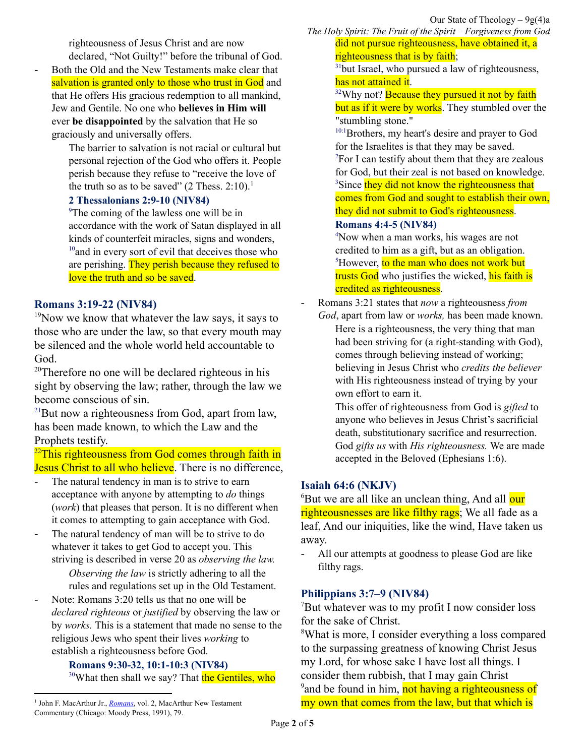righteousness of Jesus Christ and are now declared, "Not Guilty!" before the tribunal of God.

Both the Old and the New Testaments make clear that salvation is granted only to those who trust in God and that He offers His gracious redemption to all mankind, Jew and Gentile. No one who **believes in Him will** ever **be disappointed** by the salvation that He so graciously and universally offers.

The barrier to salvation is not racial or cultural but personal rejection of the God who offers it. People perish because they refuse to "receive the love of the truth so as to be saved"  $(2 \text{ Thess. } 2:10)^{1}$ .

## **2 Thessalonians 2:9-10 (NIV84)**

<sup>9</sup>The coming of the lawless one will be in accordance with the work of Satan displayed in all kinds of counterfeit miracles, signs and wonders,  $10$ <sup>10</sup> and in every sort of evil that deceives those who are perishing. They perish because they refused to love the truth and so be saved.

# **Romans 3:19-22 (NIV84)**

 $19$ Now we know that whatever the law says, it says to those who are under the law, so that every mouth may be silenced and the whole world held accountable to God.

<sup>20</sup>Therefore no one will be declared righteous in his sight by observing the law; rather, through the law we become conscious of sin.

<sup>21</sup>But now a righteousness from God, apart from law, has been made known, to which the Law and the Prophets testify.

 $^{22}$ This righteousness from God comes through faith in Jesus Christ to all who believe. There is no difference,

- The natural tendency in man is to strive to earn acceptance with anyone by attempting to *do* things (*work*) that pleases that person. It is no different when it comes to attempting to gain acceptance with God.
- The natural tendency of man will be to strive to do whatever it takes to get God to accept you. This striving is described in verse 20 as *observing the law.*

*Observing the law* is strictly adhering to all the rules and regulations set up in the Old Testament.

- Note: Romans 3:20 tells us that no one will be *declared righteous* or *justified* by observing the law or by *works.* This is a statement that made no sense to the religious Jews who spent their lives *working* to establish a righteousness before God.

#### **Romans 9:30-32, 10:1-10:3 (NIV84)**

<sup>30</sup>What then shall we say? That the Gentiles, who

*The Holy Spirit: The Fruit of the Spirit – Forgiveness from God* did not pursue righteousness, have obtained it, a righteousness that is by faith;

 $31$ but Israel, who pursued a law of righteousness, has not attained it.

<sup>32</sup>Why not? **Because they pursued it not by faith** but as if it were by works. They stumbled over the "stumbling stone."

<sup>10:1</sup>Brothers, my heart's desire and prayer to God for the Israelites is that they may be saved.  ${}^{2}$ For I can testify about them that they are zealous for God, but their zeal is not based on knowledge. <sup>3</sup>Since they did not know the righteousness that comes from God and sought to establish their own, they did not submit to God's righteousness.

## **Romans 4:4-5 (NIV84)**

<sup>4</sup>Now when a man works, his wages are not credited to him as a gift, but as an obligation. <sup>5</sup>However, to the man who does not work but trusts God who justifies the wicked, his faith is credited as righteousness.

- Romans 3:21 states that *now* a righteousness *from God*, apart from law or *works,* has been made known.

Here is a righteousness, the very thing that man had been striving for (a right-standing with God), comes through believing instead of working; believing in Jesus Christ who *credits the believer* with His righteousness instead of trying by your own effort to earn it.

This offer of righteousness from God is *gifted* to anyone who believes in Jesus Christ's sacrificial death, substitutionary sacrifice and resurrection. God *gifts us* with *His righteousness.* We are made accepted in the Beloved (Ephesians 1:6).

# **Isaiah 64:6 (NKJV)**

<sup>6</sup>But we are all like an unclean thing, And all our righteousnesses are like filthy rags; We all fade as a leaf, And our iniquities, like the wind, Have taken us away.

All our attempts at goodness to please God are like filthy rags.

# **Philippians 3:7–9 (NIV84)**

 $\mu$ <sup>7</sup>But whatever was to my profit I now consider loss for the sake of Christ.

<sup>8</sup>What is more, I consider everything a loss compared to the surpassing greatness of knowing Christ Jesus my Lord, for whose sake I have lost all things. I consider them rubbish, that I may gain Christ <sup>9</sup> and be found in him, not having a righteousness of my own that comes from the law, but that which is

<sup>&</sup>lt;sup>1</sup> John F. MacArthur Jr., *[Romans](https://ref.ly/logosres/rommntc?ref=Bible.Ro10.11-18&off=3882&ctx=ot+be+disappointed.+~Both+the+Old+and+the)*, vol. 2, MacArthur New Testament Commentary (Chicago: Moody Press, 1991), 79.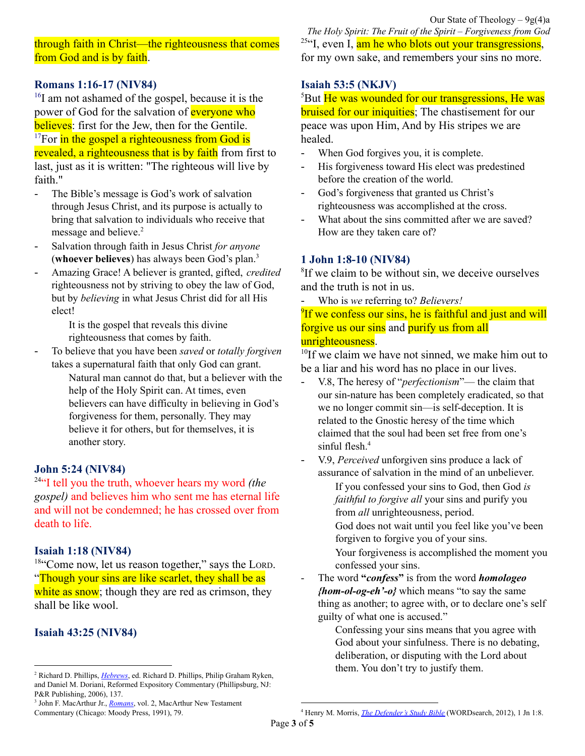through faith in Christ—the righteousness that comes from God and is by faith.

# **Romans 1:16-17 (NIV84)**

<sup>16</sup>I am not ashamed of the gospel, because it is the power of God for the salvation of **everyone** who believes: first for the Jew, then for the Gentile.  $17$ For in the gospel a righteousness from God is revealed, a righteousness that is by faith from first to last, just as it is written: "The righteous will live by faith."

- The Bible's message is God's work of salvation through Jesus Christ, and its purpose is actually to bring that salvation to individuals who receive that message and believe.<sup>2</sup>
- Salvation through faith in Jesus Christ *for anyone* (**whoever believes**) has always been God's plan. 3
- Amazing Grace! A believer is granted, gifted, *credited* righteousness not by striving to obey the law of God, but by *believing* in what Jesus Christ did for all His elect!

It is the gospel that reveals this divine righteousness that comes by faith.

- To believe that you have been *saved* or *totally forgiven* takes a supernatural faith that only God can grant.

Natural man cannot do that, but a believer with the help of the Holy Spirit can. At times, even believers can have difficulty in believing in God's forgiveness for them, personally. They may believe it for others, but for themselves, it is another story.

# **John 5:24 (NIV84)**

<sup>24</sup>"I tell you the truth, whoever hears my word *(the gospel)* and believes him who sent me has eternal life and will not be condemned; he has crossed over from death to life.

# **Isaiah 1:18 (NIV84)**

18"Come now, let us reason together," says the LORD. "Though your sins are like scarlet, they shall be as white as snow; though they are red as crimson, they shall be like wool.

# **Isaiah 43:25 (NIV84)**

*The Holy Spirit: The Fruit of the Spirit – Forgiveness from God* <sup>25"</sup>I, even I, am he who blots out your transgressions, for my own sake, and remembers your sins no more.

## **Isaiah 53:5 (NKJV)**

<sup>5</sup>But He was wounded for our transgressions, He was **bruised for our iniquities**; The chastisement for our peace was upon Him, And by His stripes we are healed.

- When God forgives you, it is complete.
- His forgiveness toward His elect was predestined before the creation of the world.
- God's forgiveness that granted us Christ's righteousness was accomplished at the cross.
- What about the sins committed after we are saved? How are they taken care of?

# **1 John 1:8-10 (NIV84)**

<sup>8</sup>If we claim to be without sin, we deceive ourselves and the truth is not in us.

- Who is *we* referring to? *Believers!*

<sup>9</sup>If we confess our sins, he is faithful and just and will forgive us our sins and purify us from all unrighteousness.

<sup>10</sup>If we claim we have not sinned, we make him out to be a liar and his word has no place in our lives.

- V.8, The heresy of "*perfectionism*"— the claim that our sin-nature has been completely eradicated, so that we no longer commit sin—is self-deception. It is related to the Gnostic heresy of the time which claimed that the soul had been set free from one's sinful flesh. 4
- V.9, *Perceived* unforgiven sins produce a lack of assurance of salvation in the mind of an unbeliever.

If you confessed your sins to God, then God *is faithful to forgive all* your sins and purify you from *all* unrighteousness, period.

God does not wait until you feel like you've been forgiven to forgive you of your sins.

Your forgiveness is accomplished the moment you confessed your sins.

- The word **"***confess***"** is from the word *homologeo {hom-ol-og-eh'-o}* which means "to say the same thing as another; to agree with, or to declare one's self guilty of what one is accused."
	- Confessing your sins means that you agree with God about your sinfulness. There is no debating, deliberation, or disputing with the Lord about them. You don't try to justify them.

<sup>2</sup> Richard D. Phillips, *[Hebrews](https://ref.ly/logosres/rec79heb?ref=Bible.Heb4.12-13&off=9063&ctx=sus%E2%80%9D+(2+Tim.+3%3a15).+~The+Bible%E2%80%99s+message+)*, ed. Richard D. Phillips, Philip Graham Ryken, and Daniel M. Doriani, Reformed Expository Commentary (Phillipsburg, NJ: P&R Publishing, 2006), 137.

<sup>3</sup> John F. MacArthur Jr., *[Romans](https://ref.ly/logosres/rommntc?ref=Bible.Ro10.11-18&off=2803&ctx=d).+In+other+words%2c+~salvation+through+fa)*, vol. 2, MacArthur New Testament Commentary (Chicago: Moody Press, 1991), 79.

<sup>4</sup> Henry M. Morris, *The [Defender's](https://ref.ly/logosres/ws-bf557f7bab6c4833aacd71063d96a472?ref=Bible.1Jn1.8&off=30&ctx=%0adeceive+ourselves.+~The+heresy+of+%E2%80%9Cperfe) Study Bible* (WORDsearch, 2012), 1 Jn 1:8.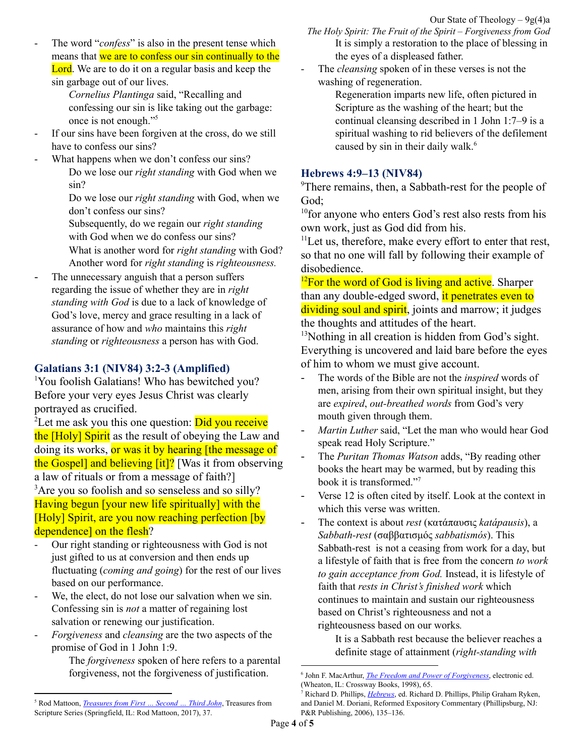- The word "*confess*" is also in the present tense which means that we are to confess our sin continually to the Lord. We are to do it on a regular basis and keep the sin garbage out of our lives.
	- *Cornelius Plantinga* said, "Recalling and confessing our sin is like taking out the garbage: once is not enough." 5
- If our sins have been forgiven at the cross, do we still have to confess our sins?
	- What happens when we don't confess our sins? Do we lose our *right standing* with God when we sin?
		- Do we lose our *right standing* with God, when we don't confess our sins?
		- Subsequently, do we regain our *right standing* with God when we do confess our sins?
		- What is another word for *right standing* with God? Another word for *right standing* is *righteousness.*
- The unnecessary anguish that a person suffers regarding the issue of whether they are in *right standing with God* is due to a lack of knowledge of God's love, mercy and grace resulting in a lack of assurance of how and *who* maintains this *right standing* or *righteousness* a person has with God.

# **Galatians 3:1 (NIV84) 3:2-3 (Amplified)**

<sup>1</sup>You foolish Galatians! Who has bewitched you? Before your very eyes Jesus Christ was clearly portrayed as crucified.

<sup>2</sup>Let me ask you this one question: **Did you receive** the [Holy] Spirit as the result of obeying the Law and doing its works, or was it by hearing [the message of the Gospel] and believing [it]? [Was it from observing a law of rituals or from a message of faith?] <sup>3</sup>Are you so foolish and so senseless and so silly? Having begun [your new life spiritually] with the [Holy] Spirit, are you now reaching perfection [by dependence] on the flesh?

- Our right standing or righteousness with God is not just gifted to us at conversion and then ends up fluctuating (*coming and going*) for the rest of our lives based on our performance.
- We, the elect, do not lose our salvation when we sin. Confessing sin is *not* a matter of regaining lost salvation or renewing our justification.
- *Forgiveness* and *cleansing* are the two aspects of the promise of God in 1 John 1:9.

The *forgiveness* spoken of here refers to a parental forgiveness, not the forgiveness of justification.

*The Holy Spirit: The Fruit of the Spirit – Forgiveness from God* It is simply a restoration to the place of blessing in the eyes of a displeased father.

The *cleansing* spoken of in these verses is not the washing of regeneration.

Regeneration imparts new life, often pictured in Scripture as the washing of the heart; but the continual cleansing described in 1 John 1:7–9 is a spiritual washing to rid believers of the defilement caused by sin in their daily walk. 6

# **Hebrews 4:9–13 (NIV84)**

<sup>9</sup>There remains, then, a Sabbath-rest for the people of God;

<sup>10</sup> for anyone who enters God's rest also rests from his own work, just as God did from his.

 $11$ Let us, therefore, make every effort to enter that rest, so that no one will fall by following their example of disobedience.

 $12$ For the word of God is living and active. Sharper than any double-edged sword, it penetrates even to dividing soul and spirit, joints and marrow; it judges the thoughts and attitudes of the heart.

 $13$ Nothing in all creation is hidden from God's sight. Everything is uncovered and laid bare before the eyes of him to whom we must give account.

- The words of the Bible are not the *inspired* words of men, arising from their own spiritual insight, but they are *expired*, *out-breathed words* from God's very mouth given through them.
- Martin Luther said, "Let the man who would hear God speak read Holy Scripture."
- The *Puritan Thomas Watson* adds, "By reading other books the heart may be warmed, but by reading this book it is transformed." 7
- Verse 12 is often cited by itself. Look at the context in which this verse was written.
- The context is about *rest* (κατάπαυσις *katápausis*), a *Sabbath-rest* (σαββατισμός *sabbatismós*). This Sabbath-rest is not a ceasing from work for a day, but a lifestyle of faith that is free from the concern *to work to gain acceptance from God.* Instead, it is lifestyle of faith that *rests in Christ's finished work* which continues to maintain and sustain our righteousness based on Christ's righteousness and not a righteousness based on our works*.*

It is a Sabbath rest because the believer reaches a definite stage of attainment (*right-standing with*

<sup>5</sup> Rod Mattoon, *[Treasures](https://ref.ly/logosres/treasures83jn1?ref=Bible.1Jn1.9&off=221&ctx=confess+your+sins%3f%E2%80%9D%0a~The+word+%E2%80%9Cconfess%E2%80%9D+i) from First … Second … Third John*, Treasures from Scripture Series (Springfield, IL: Rod Mattoon, 2017), 37.

<sup>6</sup> John F. MacArthur, *The Freedom and Power of [Forgiveness](https://ref.ly/logosres/fpforgiv?ref=Page.p+65&off=190&ctx=+to+understand+that+~we+do+not+lose+our+s)*, electronic ed. (Wheaton, IL: Crossway Books, 1998), 65.

<sup>7</sup> Richard D. Phillips, *[Hebrews](https://ref.ly/logosres/rec79heb?ref=Bible.Heb4.12-13&off=6019&ctx=%E2%80%9D+(2+Tim.+3%3a16%E2%80%9317).+~The+words+of+the+Bib)*, ed. Richard D. Phillips, Philip Graham Ryken, and Daniel M. Doriani, Reformed Expository Commentary (Phillipsburg, NJ: P&R Publishing, 2006), 135–136.